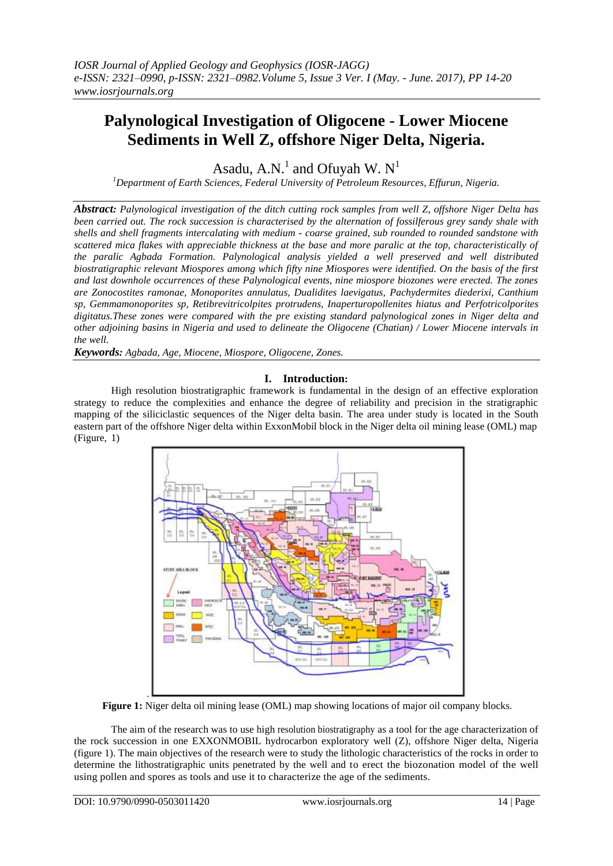# **Palynological Investigation of Oligocene - Lower Miocene Sediments in Well Z, offshore Niger Delta, Nigeria.**

Asadu, A.N.<sup>1</sup> and Ofuyah W.  $N<sup>1</sup>$ 

*<sup>1</sup>Department of Earth Sciences, Federal University of Petroleum Resources, Effurun, Nigeria.*

*Abstract: Palynological investigation of the ditch cutting rock samples from well Z, offshore Niger Delta has been carried out. The rock succession is characterised by the alternation of fossilferous grey sandy shale with shells and shell fragments intercalating with medium - coarse grained, sub rounded to rounded sandstone with scattered mica flakes with appreciable thickness at the base and more paralic at the top, characteristically of the paralic Agbada Formation. Palynological analysis yielded a well preserved and well distributed biostratigraphic relevant Miospores among which fifty nine Miospores were identified. On the basis of the first and last downhole occurrences of these Palynological events, nine miospore biozones were erected. The zones are Zonocostites ramonae, Monoporites annulatus, Dualidites laevigatus, Pachydermites diederixi, Canthium sp, Gemmamonoporites sp, Retibrevitricolpites protrudens, Inaperturopollenites hiatus and Perfotricolporites digitatus.These zones were compared with the pre existing standard palynological zones in Niger delta and other adjoining basins in Nigeria and used to delineate the Oligocene (Chatian) / Lower Miocene intervals in the well.* 

*Keywords: Agbada, Age, Miocene, Miospore, Oligocene, Zones.*

## **I. Introduction:**

High resolution biostratigraphic framework is fundamental in the design of an effective exploration strategy to reduce the complexities and enhance the degree of reliability and precision in the stratigraphic mapping of the siliciclastic sequences of the Niger delta basin. The area under study is located in the South eastern part of the offshore Niger delta within ExxonMobil block in the Niger delta oil mining lease (OML) map (Figure, 1)



**Figure 1:** Niger delta oil mining lease (OML) map showing locations of major oil company blocks.

The aim of the research was to use high resolution biostratigraphy as a tool for the age characterization of the rock succession in one EXXONMOBIL hydrocarbon exploratory well (Z), offshore Niger delta, Nigeria (figure 1). The main objectives of the research were to study the lithologic characteristics of the rocks in order to determine the lithostratigraphic units penetrated by the well and to erect the biozonation model of the well using pollen and spores as tools and use it to characterize the age of the sediments.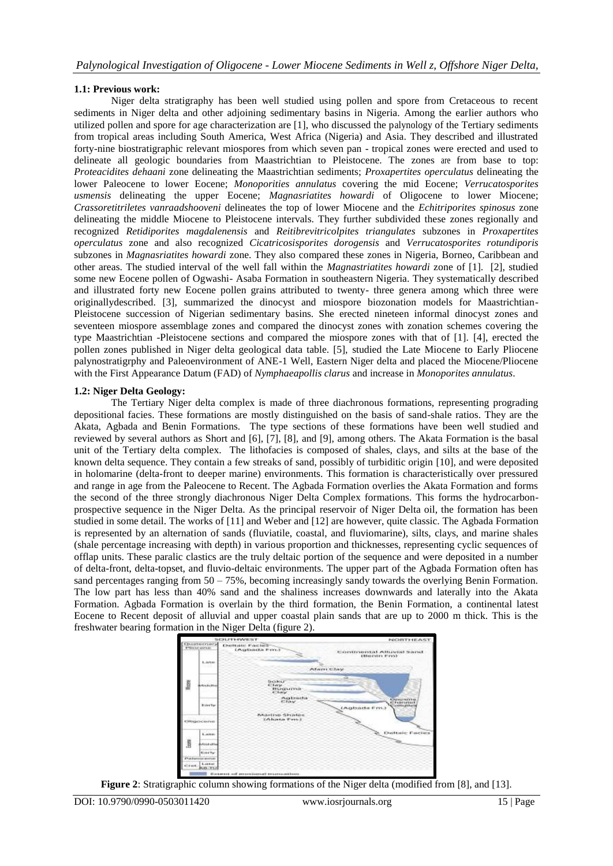# **1.1: Previous work:**

Niger delta stratigraphy has been well studied using pollen and spore from Cretaceous to recent sediments in Niger delta and other adjoining sedimentary basins in Nigeria. Among the earlier authors who utilized pollen and spore for age characterization are [1], who discussed the palynology of the Tertiary sediments from tropical areas including South America, West Africa (Nigeria) and Asia. They described and illustrated forty-nine biostratigraphic relevant miospores from which seven pan - tropical zones were erected and used to delineate all geologic boundaries from Maastrichtian to Pleistocene. The zones are from base to top: *Proteacidites dehaani* zone delineating the Maastrichtian sediments; *Proxapertites operculatus* delineating the lower Paleocene to lower Eocene; *Monoporities annulatus* covering the mid Eocene; *Verrucatosporites usmensis* delineating the upper Eocene; *Magnasriatites howardi* of Oligocene to lower Miocene; *Crassoretitriletes vanraadshooveni* delineates the top of lower Miocene and the *Echitriporites spinosus* zone delineating the middle Miocene to Pleistocene intervals. They further subdivided these zones regionally and recognized *Retidiporites magdalenensis* and *Reitibrevitricolpites triangulates* subzones in *Proxapertites operculatus* zone and also recognized *Cicatricosisporites dorogensis* and *Verrucatosporites rotundiporis*  subzones in *Magnasriatites howardi* zone. They also compared these zones in Nigeria, Borneo, Caribbean and other areas. The studied interval of the well fall within the *Magnastriatites howardi* zone of [1]. [2], studied some new Eocene pollen of Ogwashi- Asaba Formation in southeastern Nigeria. They systematically described and illustrated forty new Eocene pollen grains attributed to twenty- three genera among which three were originallydescribed. [3], summarized the dinocyst and miospore biozonation models for Maastrichtian-Pleistocene succession of Nigerian sedimentary basins. She erected nineteen informal dinocyst zones and seventeen miospore assemblage zones and compared the dinocyst zones with zonation schemes covering the type Maastrichtian -Pleistocene sections and compared the miospore zones with that of [1]. [4], erected the pollen zones published in Niger delta geological data table. [5], studied the Late Miocene to Early Pliocene palynostratigrphy and Paleoenvironment of ANE-1 Well, Eastern Niger delta and placed the Miocene/Pliocene with the First Appearance Datum (FAD) of *Nymphaeapollis clarus* and increase in *Monoporites annulatus*.

## **1.2: Niger Delta Geology:**

The Tertiary Niger delta complex is made of three diachronous formations, representing prograding depositional facies. These formations are mostly distinguished on the basis of sand-shale ratios. They are the Akata, Agbada and Benin Formations. The type sections of these formations have been well studied and reviewed by several authors as Short and [6], [7], [8], and [9], among others. The Akata Formation is the basal unit of the Tertiary delta complex. The lithofacies is composed of shales, clays, and silts at the base of the known delta sequence. They contain a few streaks of sand, possibly of turbiditic origin [10], and were deposited in holomarine (delta-front to deeper marine) environments. This formation is characteristically over pressured and range in age from the Paleocene to Recent. The Agbada Formation overlies the Akata Formation and forms the second of the three strongly diachronous Niger Delta Complex formations. This forms the hydrocarbonprospective sequence in the Niger Delta. As the principal reservoir of Niger Delta oil, the formation has been studied in some detail. The works of [11] and Weber and [12] are however, quite classic. The Agbada Formation is represented by an alternation of sands (fluviatile, coastal, and fluviomarine), silts, clays, and marine shales (shale percentage increasing with depth) in various proportion and thicknesses, representing cyclic sequences of offlap units. These paralic clastics are the truly deltaic portion of the sequence and were deposited in a number of delta-front, delta-topset, and fluvio-deltaic environments. The upper part of the Agbada Formation often has sand percentages ranging from 50 – 75%, becoming increasingly sandy towards the overlying Benin Formation. The low part has less than 40% sand and the shaliness increases downwards and laterally into the Akata Formation. Agbada Formation is overlain by the third formation, the Benin Formation, a continental latest Eocene to Recent deposit of alluvial and upper coastal plain sands that are up to 2000 m thick. This is the freshwater bearing formation in the Niger Delta (figure 2).



**Figure 2**: Stratigraphic column showing formations of the Niger delta (modified from [8], and [13].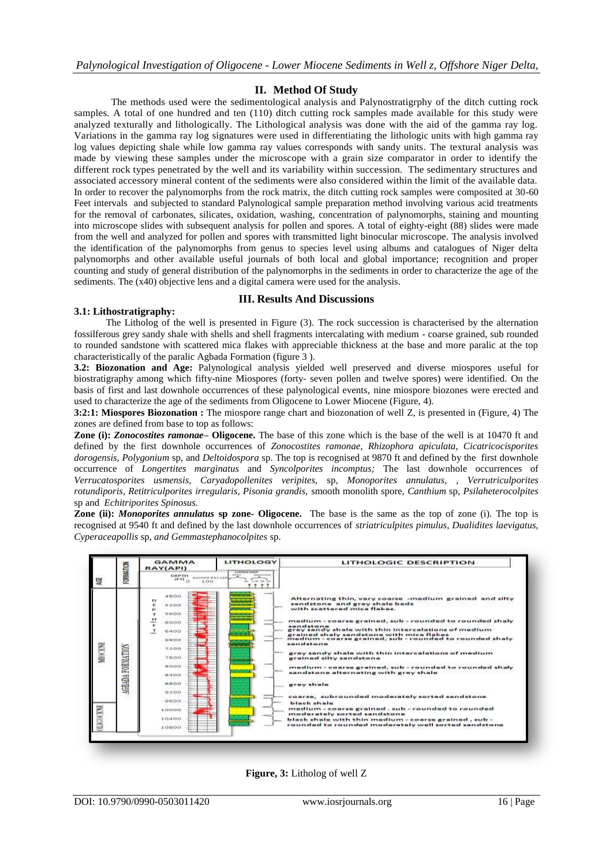## **II. Method Of Study**

The methods used were the sedimentological analysis and Palynostratigrphy of the ditch cutting rock samples. A total of one hundred and ten (110) ditch cutting rock samples made available for this study were analyzed texturally and lithologically. The Lithological analysis was done with the aid of the gamma ray log. Variations in the gamma ray log signatures were used in differentiating the lithologic units with high gamma ray log values depicting shale while low gamma ray values corresponds with sandy units. The textural analysis was made by viewing these samples under the microscope with a grain size comparator in order to identify the different rock types penetrated by the well and its variability within succession. The sedimentary structures and associated accessory mineral content of the sediments were also considered within the limit of the available data. In order to recover the palynomorphs from the rock matrix, the ditch cutting rock samples were composited at 30-60 Feet intervals and subjected to standard Palynological sample preparation method involving various acid treatments for the removal of carbonates, silicates, oxidation, washing, concentration of palynomorphs, staining and mounting into microscope slides with subsequent analysis for pollen and spores. A total of eighty-eight (88) slides were made from the well and analyzed for pollen and spores with transmitted light binocular microscope. The analysis involved the identification of the palynomorphs from genus to species level using albums and catalogues of Niger delta palynomorphs and other available useful journals of both local and global importance; recognition and proper counting and study of general distribution of the palynomorphs in the sediments in order to characterize the age of the sediments. The (x40) objective lens and a digital camera were used for the analysis.

## **III. Results And Discussions**

#### **3.1: Lithostratigraphy:**

 The Litholog of the well is presented in Figure (3). The rock succession is characterised by the alternation fossilferous grey sandy shale with shells and shell fragments intercalating with medium - coarse grained, sub rounded to rounded sandstone with scattered mica flakes with appreciable thickness at the base and more paralic at the top characteristically of the paralic Agbada Formation (figure 3 ).

**3.2: Biozonation and Age:** Palynological analysis yielded well preserved and diverse miospores useful for biostratigraphy among which fifty-nine Miospores (forty- seven pollen and twelve spores) were identified. On the basis of first and last downhole occurrences of these palynological events, nine miospore biozones were erected and used to characterize the age of the sediments from Oligocene to Lower Miocene (Figure, 4).

**3:2:1: Miospores Biozonation :** The miospore range chart and biozonation of well Z, is presented in (Figure, 4) The zones are defined from base to top as follows:

**Zone (i):** *Zonocostites ramonae***– Oligocene.** The base of this zone which is the base of the well is at 10470 ft and defined by the first downhole occurrences of *Zonocostites ramonae, Rhizophora apiculata, Cicatricocisporites dorogensis, Polygonium* sp, and *Deltoidospora* sp. The top is recognised at 9870 ft and defined by the first downhole occurrence of *Longertites marginatus* and *Syncolporites incomptus;* The last downhole occurrences of *Verrucatosporites usmensis, Caryadopollenites veripites,* sp*, Monoporites annulatus, , Verrutriculporites rotundiporis, Retitriculporites irregularis, Pisonia grandis,* smooth monolith spore, *Canthium* sp, *Psilaheterocolpites*  sp and *Echitriporites Spinosus.*

**Zone (ii):** *Monoporites annulatus* **sp zone- Oligocene.** The base is the same as the top of zone (i). The top is recognised at 9540 ft and defined by the last downhole occurrences of *striatriculpites pimulus, Dualidites laevigatus, Cyperaceapollis* sp, *and Gemmastephanocolpites* sp*.*



**Figure, 3:** Litholog of well Z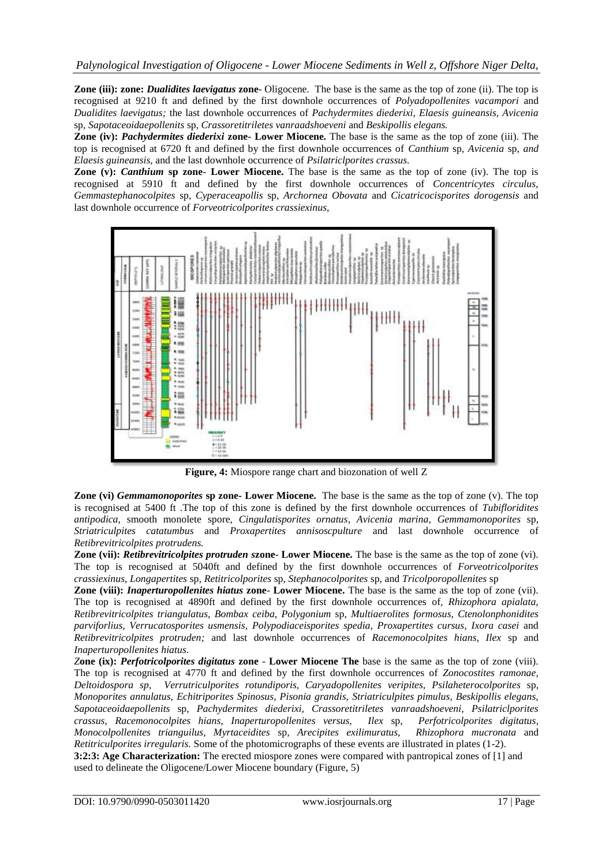**Zone (iii): zone:** *Dualidites laevigatus* **zone**- Oligocene. The base is the same as the top of zone (ii). The top is recognised at 9210 ft and defined by the first downhole occurrences of *Polyadopollenites vacampori* and *Dualidites laevigatus;* the last downhole occurrences of *Pachydermites diederixi, Elaesis guineansis, Avicenia*  sp, *Sapotaceoidaepollenits* sp, *Crassoretitriletes vanraadshoeveni* and *Beskipollis elegans.*

**Zone (iv):** *Pachydermites diederixi* **zone- Lower Miocene.** The base is the same as the top of zone (iii). The top is recognised at 6720 ft and defined by the first downhole occurrences of *Canthium* sp, *Avicenia* sp, *and Elaesis guineansis,* and the last downhole occurrence of *Psilatriclporites crassus.*

**Zone (v):** *Canthium* **sp zone**- **Lower Miocene.** The base is the same as the top of zone (iv). The top is recognised at 5910 ft and defined by the first downhole occurrences of *Concentricytes circulus, Gemmastephanocolpites* sp, *Cyperaceapollis* sp, *Archornea Obovata* and *Cicatricocisporites dorogensis* and last downhole occurrence of *Forveotricolporites crassiexinus,*



**Figure, 4:** Miospore range chart and biozonation of well Z

**Zone (vi)** *Gemmamonoporites* **sp zone- Lower Miocene.** The base is the same as the top of zone (v). The top is recognised at 5400 ft .The top of this zone is defined by the first downhole occurrences of *Tubifloridites antipodica,* smooth monolete spore*, Cingulatisporites ornatus, Avicenia marina, Gemmamonoporites* sp, *Striatriculpites catatumbus* and *Proxapertites annisoscpulture* and last downhole occurrence of *Retibrevitricolpites protrudens.*

**Zone (vii):** *Retibrevitricolpites protruden s***zone**- **Lower Miocene.** The base is the same as the top of zone (vi). The top is recognised at 5040ft and defined by the first downhole occurrences of *Forveotricolporites crassiexinus, Longapertites* sp*, Retitricolporites* sp, *Stephanocolporites* sp, and *Tricolporopollenites* sp

**Zone (viii):** *Inaperturopollenites hiatus* **zone**- **Lower Miocene.** The base is the same as the top of zone (vii). The top is recognised at 4890ft and defined by the first downhole occurrences of*, Rhizophora apialata, Retibrevitricolpites triangulatus, Bombax ceiba, Polygonium* sp*, Multiaerolites formosus, Ctenolonphonidites parviforlius, Verrucatosporites usmensis, Polypodiaceisporites spedia, Proxapertites cursus, Ixora casei* and *Retibrevitricolpites protruden;* and last downhole occurrences of *Racemonocolpites hians, Ilex* sp and *Inaperturopollenites hiatus.*

*Z***one (ix):** *Perfotricolporites digitatus* **zone** - **Lower Miocene The** base is the same as the top of zone (viii). The top is recognised at 4770 ft and defined by the first downhole occurrences of *Zonocostites ramonae, Deltoidospora sp, Verrutriculporites rotundiporis, Caryadopollenites veripites, Psilaheterocolporites* sp, *Monoporites annulatus, Echitriporites Spinosus, Pisonia grandis, Striatriculpites pimulus, Beskipollis elegans, Sapotaceoidaepollenits* sp, *Pachydermites diederixi, Crassoretitriletes vanraadshoeveni, Psilatriclporites crassus, Racemonocolpites hians, Inaperturopollenites versus, Ilex* sp, *Perfotricolporites digitatus, Monocolpollenites trianguilus, Myrtaceidites* sp*, Arecipites exilimuratus, Rhizophora mucronata* and *Retitriculporites irregularis.* Some of the photomicrographs of these events are illustrated in plates (1-2).

**3:2:3: Age Characterization:** The erected miospore zones were compared with pantropical zones of [1] and used to delineate the Oligocene/Lower Miocene boundary (Figure, 5)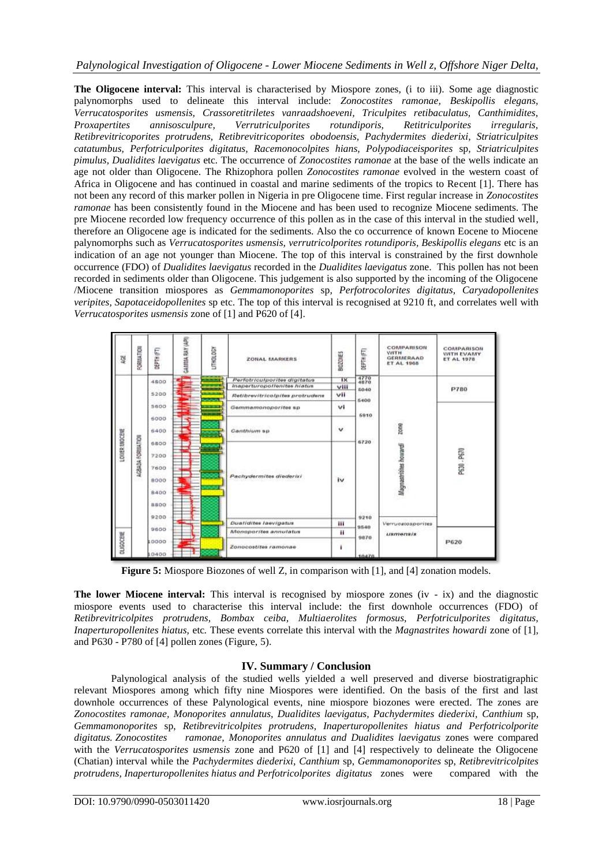# *Palynological Investigation of Oligocene - Lower Miocene Sediments in Well z, Offshore Niger Delta,*

**The Oligocene interval:** This interval is characterised by Miospore zones, (i to iii). Some age diagnostic palynomorphs used to delineate this interval include: *Zonocostites ramonae, Beskipollis elegans, Verrucatosporites usmensis, Crassoretitriletes vanraadshoeveni, Triculpites retibaculatus, Canthimidites, Proxapertites annisosculpure, Verrutriculporites rotundiporis, Retitriculporites irregularis, Retibrevitricoporites protrudens, Retibrevitricoporites obodoensis, Pachydermites diederixi, Striatriculpites catatumbus, Perfotriculporites digitatus, Racemonocolpites hians, Polypodiaceisporites* sp*, Striatriculpites pimulus, Dualidites laevigatus* etc*.* The occurrence of *Zonocostites ramonae* at the base of the wells indicate an age not older than Oligocene. The Rhizophora pollen *Zonocostites ramonae* evolved in the western coast of Africa in Oligocene and has continued in coastal and marine sediments of the tropics to Recent [1]. There has not been any record of this marker pollen in Nigeria in pre Oligocene time. First regular increase in *Zonocostites ramonae* has been consistently found in the Miocene and has been used to recognize Miocene sediments. The pre Miocene recorded low frequency occurrence of this pollen as in the case of this interval in the studied well, therefore an Oligocene age is indicated for the sediments. Also the co occurrence of known Eocene to Miocene palynomorphs such as *Verrucatosporites usmensis, verrutricolporites rotundiporis, Beskipollis elegans* etc is an indication of an age not younger than Miocene. The top of this interval is constrained by the first downhole occurrence (FDO) of *Dualidites laevigatus* recorded in the *Dualidites laevigatus* zone. This pollen has not been recorded in sediments older than Oligocene. This judgement is also supported by the incoming of the Oligocene /Miocene transition miospores as *Gemmamonoporites* sp*, Perfotrocolorites digitatus, Caryadopollenites veripites, Sapotaceidopollenites* sp etc. The top of this interval is recognised at 9210 ft, and correlates well with *Verrucatosporites usmensis* zone of [1] and P620 of [4].

| 鬘                                 | FORMATION         | DEPTH (FT)  | GALISIA RAY (API) | LITHOLOGY | ZONAL MARKERS                   | <b>BIOZONES</b> | <b>SEPTH (FT)</b>                                     | <b>COMPARISON</b><br><b>WITH</b><br>GERMERAAD<br>ET AL 1968 | COMPARISON<br>WITH EVAMY<br><b>ET AL 1978</b> |
|-----------------------------------|-------------------|-------------|-------------------|-----------|---------------------------------|-----------------|-------------------------------------------------------|-------------------------------------------------------------|-----------------------------------------------|
| LOUIER MOCENE<br><b>QUIGOCERE</b> | AGBADA FORISATION | 4800        |                   |           | Perfotriculporites digitatus    | 1 <sub>X</sub>  | $\frac{4770}{4870}$                                   | zone<br>Magnastrities howardi                               | 010406309<br><b>P780</b>                      |
|                                   |                   |             |                   |           | Inaperturopollenites histus     | viii            | 5040                                                  |                                                             |                                               |
|                                   |                   | 5200        |                   |           | Retibrevitricolpites protrudens | vii             |                                                       |                                                             |                                               |
|                                   |                   | 5600        |                   |           | Gemmamonoporites sp             | vi              | 5400<br>6910<br>6720<br>9210<br>9540<br>9870<br>10470 |                                                             | P630 - P670<br>P620                           |
|                                   |                   | 6000        |                   |           | Canthium sp                     | $\checkmark$    |                                                       |                                                             |                                               |
|                                   |                   | 6400        |                   |           |                                 |                 |                                                       |                                                             |                                               |
|                                   |                   | 6800        |                   |           |                                 | iv              |                                                       |                                                             |                                               |
|                                   |                   | 7200        |                   |           |                                 |                 |                                                       |                                                             |                                               |
|                                   |                   | 7600        |                   |           |                                 |                 |                                                       |                                                             |                                               |
|                                   |                   | 8000        |                   |           | Pachydermites diederixi         |                 |                                                       |                                                             |                                               |
|                                   |                   | 8400        |                   |           |                                 |                 |                                                       |                                                             |                                               |
|                                   |                   | <b>BROO</b> |                   |           |                                 |                 |                                                       |                                                             |                                               |
|                                   |                   | 9200        |                   |           |                                 |                 |                                                       | Verrucatosporites<br>$\nu$ smensis                          |                                               |
|                                   |                   | 9600        |                   |           | <b>Duatidites laevigatus</b>    | ш               |                                                       |                                                             |                                               |
|                                   |                   |             |                   |           | Monoporites annulatus           | Ħ               |                                                       |                                                             |                                               |
|                                   |                   | 10000       | Ħ                 |           | Zonocostites ramonae            | ٠               |                                                       |                                                             |                                               |
|                                   |                   | 10400       |                   |           |                                 |                 |                                                       |                                                             |                                               |

**Figure 5:** Miospore Biozones of well Z, in comparison with [1], and [4] zonation models.

**The lower Miocene interval:** This interval is recognised by miospore zones (iv - ix) and the diagnostic miospore events used to characterise this interval include: the first downhole occurrences (FDO) of *Retibrevitricolpites protrudens, Bombax ceiba, Multiaerolites formosus, Perfotriculporites digitatus, Inaperturopollenites hiatus,* etc*.* These events correlate this interval with the *Magnastrites howardi* zone of [1], and P630 - P780 of [4] pollen zones (Figure, 5).

## **IV. Summary / Conclusion**

Palynological analysis of the studied wells yielded a well preserved and diverse biostratigraphic relevant Miospores among which fifty nine Miospores were identified. On the basis of the first and last downhole occurrences of these Palynological events, nine miospore biozones were erected. The zones are *Zonocostites ramonae, Monoporites annulatus, Dualidites laevigatus, Pachydermites diederixi, Canthium* sp, *Gemmamonoporites* sp, *Retibrevitricolpites protrudens, Inaperturopollenites hiatus and Perfotricolporite digitatus. Zonocostites ramonae, Monoporites annulatus and Dualidites laevigatus* zones were compared with the *Verrucatosporites usmensis* zone and P620 of [1] and [4] respectively to delineate the Oligocene (Chatian) interval while the *Pachydermites diederixi, Canthium* sp, *Gemmamonoporites* sp, *Retibrevitricolpites protrudens, Inaperturopollenites hiatus and Perfotricolporites digitatus* zones were compared with the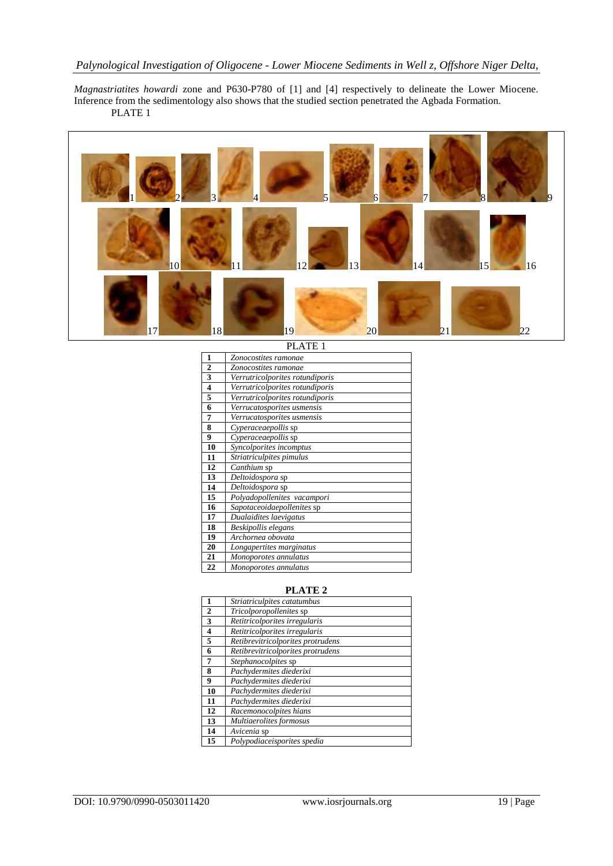# *Palynological Investigation of Oligocene - Lower Miocene Sediments in Well z, Offshore Niger Delta,*

*Magnastriatites howardi* zone and P630-P780 of [1] and [4] respectively to delineate the Lower Miocene. Inference from the sedimentology also shows that the studied section penetrated the Agbada Formation. PLATE 1



PLATE 1

| 1                       | Zonocostites ramonae            |
|-------------------------|---------------------------------|
| $\mathbf{2}$            | Zonocostites ramonae            |
| 3                       | Verrutricolporites rotundiporis |
| $\overline{\mathbf{4}}$ | Verrutricolporites rotundiporis |
| 5                       | Verrutricolporites rotundiporis |
| 6                       | Verrucatosporites usmensis      |
| 7                       | Verrucatosporites usmensis      |
| 8                       | Cyperaceaepollis sp             |
| 9                       | Cyperaceaepollis sp             |
| 10                      | Syncolporites incomptus         |
| 11                      | Striatriculpites pimulus        |
| 12                      | Canthium sp                     |
| 13                      | Deltoidospora sp                |
| 14                      | Deltoidospora sp                |
| 15                      | Polyadopollenites vacampori     |
| 16                      | Sapotaceoidaepollenites sp      |
| 17                      | Dualaidites laevigatus          |
| 18                      | Beskipollis elegans             |
| 19                      | Archornea obovata               |
| 20                      | Longapertites marginatus        |
| 21                      | Monoporotes annulatus           |
| 22                      | Monoporotes annulatus           |

## **PLATE 2**

| 1            | Striatriculpites catatumbus       |
|--------------|-----------------------------------|
| $\mathbf{2}$ | Tricolporopollenites sp           |
| 3            | Retitricolporites irregularis     |
| 4            | Retitricolporites irregularis     |
| 5            | Retibrevitricolporites protrudens |
| 6            | Retibrevitricolporites protrudens |
| 7            | Stephanocolpites sp               |
| 8            | Pachydermites diederixi           |
| 9            | Pachydermites diederixi           |
| 10           | Pachydermites diederixi           |
| 11           | Pachydermites diederixi           |
| 12           | Racemonocolpites hians            |
| 13           | Multiaerolites formosus           |
| 14           | Avicenia sp                       |
| 15           | Polypodiaceisporites spedia       |